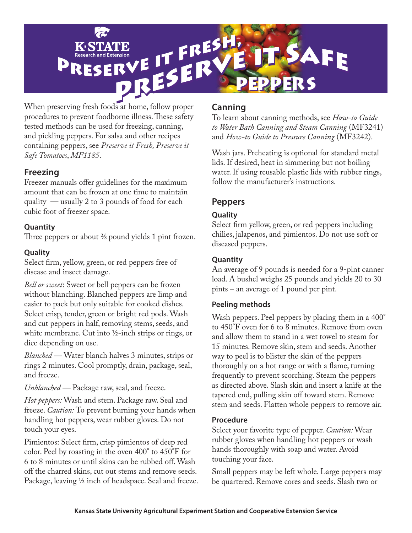

procedures to prevent foodborne illness. These safety tested methods can be used for freezing, canning, and pickling peppers. For salsa and other recipes containing peppers, see *Preserve it Fresh, Preserve it Safe Tomatoes*, *MF1185*.

# **Freezing**

Freezer manuals offer guidelines for the maximum amount that can be frozen at one time to maintain quality — usually 2 to 3 pounds of food for each cubic foot of freezer space.

### **Quantity**

Three peppers or about  $\frac{2}{3}$  pound yields 1 pint frozen.

# **Quality**

Select firm, yellow, green, or red peppers free of disease and insect damage.

*Bell or sweet*: Sweet or bell peppers can be frozen without blanching. Blanched peppers are limp and easier to pack but only suitable for cooked dishes. Select crisp, tender, green or bright red pods. Wash and cut peppers in half, removing stems, seeds, and white membrane. Cut into ½-inch strips or rings, or dice depending on use.

*Blanched —* Water blanch halves 3 minutes, strips or rings 2 minutes. Cool promptly, drain, package, seal, and freeze.

*Unblanched —* Package raw, seal, and freeze.

*Hot peppers:* Wash and stem. Package raw. Seal and freeze. *Caution:* To prevent burning your hands when handling hot peppers, wear rubber gloves. Do not touch your eyes.

Pimientos: Select firm, crisp pimientos of deep red color. Peel by roasting in the oven 400° to 450°F for 6 to 8 minutes or until skins can be rubbed off. Wash off the charred skins, cut out stems and remove seeds. Package, leaving ½ inch of headspace. Seal and freeze.

# **Canning**

To learn about canning methods, see *How-to Guide to Water Bath Canning and Steam Canning* (MF3241) and *How-to Guide to Pressure Canning* (MF3242).

Wash jars. Preheating is optional for standard metal lids. If desired, heat in simmering but not boiling water. If using reusable plastic lids with rubber rings, follow the manufacturer's instructions.

# **Peppers**

### **Quality**

Select firm yellow, green, or red peppers including chilies, jalapenos, and pimientos. Do not use soft or diseased peppers.

### **Quantity**

An average of 9 pounds is needed for a 9-pint canner load. A bushel weighs 25 pounds and yields 20 to 30 pints – an average of 1 pound per pint.

### **Peeling methods**

Wash peppers. Peel peppers by placing them in a 400° to 450°F oven for 6 to 8 minutes. Remove from oven and allow them to stand in a wet towel to steam for 15 minutes. Remove skin, stem and seeds. Another way to peel is to blister the skin of the peppers thoroughly on a hot range or with a flame, turning frequently to prevent scorching. Steam the peppers as directed above. Slash skin and insert a knife at the tapered end, pulling skin off toward stem. Remove stem and seeds. Flatten whole peppers to remove air.

### **Procedure**

Select your favorite type of pepper. *Caution:* Wear rubber gloves when handling hot peppers or wash hands thoroughly with soap and water. Avoid touching your face.

Small peppers may be left whole. Large peppers may be quartered. Remove cores and seeds. Slash two or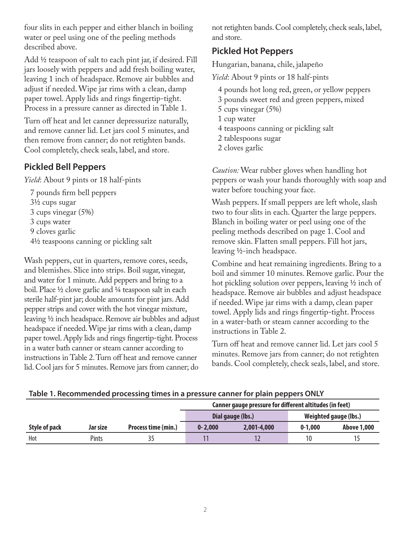four slits in each pepper and either blanch in boiling water or peel using one of the peeling methods described above.

Add 1/2 teaspoon of salt to each pint jar, if desired. Fill jars loosely with peppers and add fresh boiling water, leaving 1 inch of headspace. Remove air bubbles and adjust if needed. Wipe jar rims with a clean, damp paper towel. Apply lids and rings fingertip-tight. Process in a pressure canner as directed in Table 1.

Turn off heat and let canner depressurize naturally, and remove canner lid. Let jars cool 5 minutes, and then remove from canner; do not retighten bands. Cool completely, check seals, label, and store.

# **Pickled Bell Peppers**

*Yield*: About 9 pints or 18 half-pints

7 pounds firm bell peppers 31/2 cups sugar 3 cups vinegar (5%) 3 cups water 9 cloves garlic 41/2 teaspoons canning or pickling salt

Wash peppers, cut in quarters, remove cores, seeds, and blemishes. Slice into strips. Boil sugar, vinegar, and water for 1 minute. Add peppers and bring to a boil. Place 1/2 clove garlic and 1/4 teaspoon salt in each sterile half-pint jar; double amounts for pint jars. Add pepper strips and cover with the hot vinegar mixture, leaving 1/2 inch headspace. Remove air bubbles and adjust headspace if needed. Wipe jar rims with a clean, damp paper towel. Apply lids and rings fingertip-tight. Process in a water bath canner or steam canner according to instructions in Table 2. Turn off heat and remove canner lid. Cool jars for 5 minutes. Remove jars from canner; do

not retighten bands. Cool completely, check seals, label, and store.

# **Pickled Hot Peppers**

Hungarian, banana, chile, jalapeño

*Yield*: About 9 pints or 18 half-pints

- 4 pounds hot long red, green, or yellow peppers
- 3 pounds sweet red and green peppers, mixed
- 5 cups vinegar (5%)
- 1 cup water
- 4 teaspoons canning or pickling salt
- 2 tablespoons sugar
- 2 cloves garlic

*Caution:* Wear rubber gloves when handling hot peppers or wash your hands thoroughly with soap and water before touching your face.

Wash peppers. If small peppers are left whole, slash two to four slits in each. Quarter the large peppers. Blanch in boiling water or peel using one of the peeling methods described on page 1. Cool and remove skin. Flatten small peppers. Fill hot jars, leaving 1/2-inch headspace.

Combine and heat remaining ingredients. Bring to a boil and simmer 10 minutes. Remove garlic. Pour the hot pickling solution over peppers, leaving  $\frac{1}{2}$  inch of headspace. Remove air bubbles and adjust headspace if needed. Wipe jar rims with a damp, clean paper towel. Apply lids and rings fingertip-tight. Process in a water-bath or steam canner according to the instructions in Table 2.

Turn off heat and remove canner lid. Let jars cool 5 minutes. Remove jars from canner; do not retighten bands. Cool completely, check seals, label, and store.

|               |          |                     | Canner gauge pressure for different altitudes (in feet) |             |                       |                    |  |
|---------------|----------|---------------------|---------------------------------------------------------|-------------|-----------------------|--------------------|--|
|               |          |                     | Dial gauge (lbs.)                                       |             | Weighted gauge (lbs.) |                    |  |
| Style of pack | Jar size | Process time (min.) | $0 - 2.000$                                             | 2,001-4,000 | $0 - 1.000$           | <b>Above 1,000</b> |  |
| Hot           | Pints    |                     |                                                         |             | 10                    |                    |  |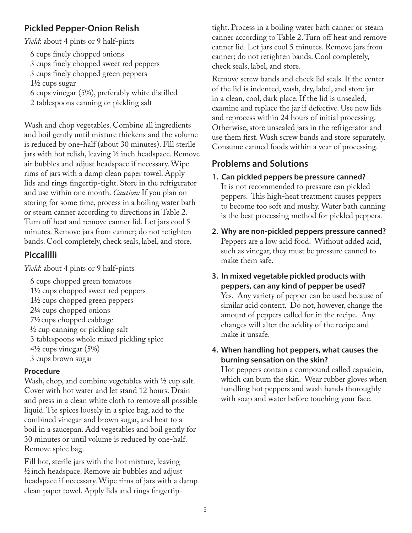# **Pickled Pepper-Onion Relish**

*Yield*: about 4 pints or 9 half-pints

- 6 cups finely chopped onions
- 3 cups finely chopped sweet red peppers
- 3 cups finely chopped green peppers

 $1\frac{1}{2}$  cups sugar

- 6 cups vinegar (5%), preferably white distilled
- 2 tablespoons canning or pickling salt

Wash and chop vegetables. Combine all ingredients and boil gently until mixture thickens and the volume is reduced by one-half (about 30 minutes). Fill sterile jars with hot relish, leaving  $\frac{1}{2}$  inch headspace. Remove air bubbles and adjust headspace if necessary. Wipe rims of jars with a damp clean paper towel. Apply lids and rings fingertip-tight. Store in the refrigerator and use within one month. *Caution:* If you plan on storing for some time, process in a boiling water bath or steam canner according to directions in Table 2. Turn off heat and remove canner lid. Let jars cool 5 minutes. Remove jars from canner; do not retighten bands. Cool completely, check seals, label, and store.

# **Piccalilli**

*Yield*: about 4 pints or 9 half-pints

6 cups chopped green tomatoes 11/2 cups chopped sweet red peppers 11/2 cups chopped green peppers 21/4 cups chopped onions 71/2 cups chopped cabbage  $\frac{1}{2}$  cup canning or pickling salt 3 tablespoons whole mixed pickling spice  $4\frac{1}{2}$  cups vinegar  $(5\%)$ 3 cups brown sugar

# **Procedure**

Wash, chop, and combine vegetables with  $\frac{1}{2}$  cup salt. Cover with hot water and let stand 12 hours. Drain and press in a clean white cloth to remove all possible liquid. Tie spices loosely in a spice bag, add to the combined vinegar and brown sugar, and heat to a boil in a saucepan. Add vegetables and boil gently for 30 minutes or until volume is reduced by one-half. Remove spice bag.

Fill hot, sterile jars with the hot mixture, leaving  $\frac{1}{2}$  inch headspace. Remove air bubbles and adjust headspace if necessary. Wipe rims of jars with a damp clean paper towel. Apply lids and rings fingertiptight. Process in a boiling water bath canner or steam canner according to Table 2. Turn off heat and remove canner lid. Let jars cool 5 minutes. Remove jars from canner; do not retighten bands. Cool completely, check seals, label, and store.

Remove screw bands and check lid seals. If the center of the lid is indented, wash, dry, label, and store jar in a clean, cool, dark place. If the lid is unsealed, examine and replace the jar if defective. Use new lids and reprocess within 24 hours of initial processing. Otherwise, store unsealed jars in the refrigerator and use them first. Wash screw bands and store separately. Consume canned foods within a year of processing.

# **Problems and Solutions**

- **1. Can pickled peppers be pressure canned?** It is not recommended to pressure can pickled peppers. This high-heat treatment causes peppers to become too soft and mushy. Water bath canning is the best processing method for pickled peppers.
- **2. Why are non-pickled peppers pressure canned?** Peppers are a low acid food. Without added acid, such as vinegar, they must be pressure canned to make them safe.

#### **3. In mixed vegetable pickled products with peppers, can any kind of pepper be used?** Yes. Any variety of pepper can be used because of similar acid content. Do not, however, change the amount of peppers called for in the recipe. Any changes will alter the acidity of the recipe and make it unsafe.

# **4. When handling hot peppers, what causes the burning sensation on the skin?**

Hot peppers contain a compound called capsaicin, which can burn the skin. Wear rubber gloves when handling hot peppers and wash hands thoroughly with soap and water before touching your face.